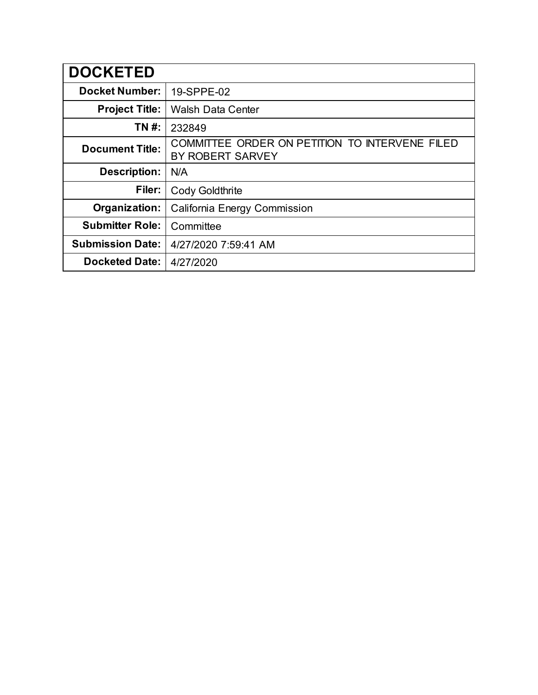| <b>DOCKETED</b>         |                                                                    |
|-------------------------|--------------------------------------------------------------------|
| <b>Docket Number:</b>   | 19-SPPE-02                                                         |
| <b>Project Title:</b>   | <b>Walsh Data Center</b>                                           |
| TN #:                   | 232849                                                             |
| <b>Document Title:</b>  | COMMITTEE ORDER ON PETITION TO INTERVENE FILED<br>BY ROBERT SARVEY |
| <b>Description:</b>     | N/A                                                                |
| Filer:                  | <b>Cody Goldthrite</b>                                             |
| Organization:           | California Energy Commission                                       |
| <b>Submitter Role:</b>  | Committee                                                          |
| <b>Submission Date:</b> | 4/27/2020 7:59:41 AM                                               |
| <b>Docketed Date:</b>   | 4/27/2020                                                          |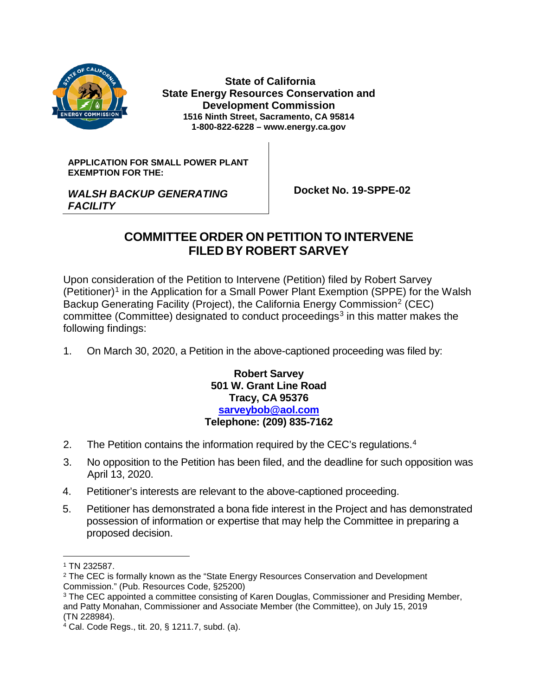

**State of California State Energy Resources Conservation and Development Commission 1516 Ninth Street, Sacramento, CA 95814 1-800-822-6228 – www.energy.ca.gov**

**APPLICATION FOR SMALL POWER PLANT EXEMPTION FOR THE:**

*WALSH BACKUP GENERATING* 

 **Docket No. 19-SPPE-02**

## *FACILITY*

## **COMMITTEE ORDER ON PETITION TO INTERVENE FILED BY ROBERT SARVEY**

Upon consideration of the Petition to Intervene (Petition) filed by Robert Sarvey (Petitioner)<sup>[1](#page-1-0)</sup> in the Application for a Small Power Plant Exemption (SPPE) for the Walsh Backup Generating Facility (Project), the California Energy Commission<sup>[2](#page-1-1)</sup> (CEC) committee (Committee) designated to conduct proceedings<sup>[3](#page-1-2)</sup> in this matter makes the following findings:

1. On March 30, 2020, a Petition in the above-captioned proceeding was filed by:

**Robert Sarvey 501 W. Grant Line Road Tracy, CA 95376 [sarveybob@aol.com](mailto:sarveybob@aol.com) Telephone: (209) 835-7162**

- 2. The Petition contains the information required by the CEC's regulations.<sup>[4](#page-1-3)</sup>
- 3. No opposition to the Petition has been filed, and the deadline for such opposition was April 13, 2020.
- 4. Petitioner's interests are relevant to the above-captioned proceeding.
- 5. Petitioner has demonstrated a bona fide interest in the Project and has demonstrated possession of information or expertise that may help the Committee in preparing a proposed decision.

<span id="page-1-0"></span> <sup>1</sup> TN 232587.

<span id="page-1-1"></span><sup>&</sup>lt;sup>2</sup> The CEC is formally known as the "State Energy Resources Conservation and Development Commission." (Pub. Resources Code, §25200)

<span id="page-1-2"></span><sup>&</sup>lt;sup>3</sup> The CEC appointed a committee consisting of Karen Douglas, Commissioner and Presiding Member, and Patty Monahan, Commissioner and Associate Member (the Committee), on July 15, 2019 (TN 228984).

<span id="page-1-3"></span><sup>4</sup> Cal. Code Regs., tit. 20, § 1211.7, subd. (a).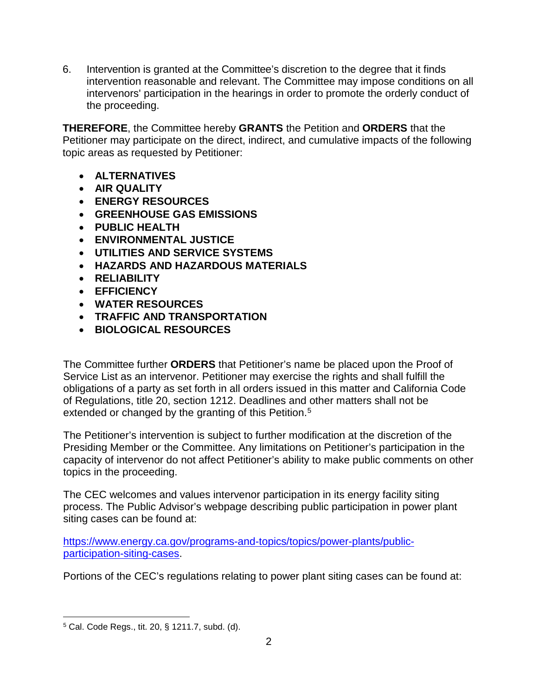6. Intervention is granted at the Committee's discretion to the degree that it finds intervention reasonable and relevant. The Committee may impose conditions on all intervenors' participation in the hearings in order to promote the orderly conduct of the proceeding.

**THEREFORE**, the Committee hereby **GRANTS** the Petition and **ORDERS** that the Petitioner may participate on the direct, indirect, and cumulative impacts of the following topic areas as requested by Petitioner:

- **ALTERNATIVES**
- **AIR QUALITY**
- **ENERGY RESOURCES**
- **GREENHOUSE GAS EMISSIONS**
- **PUBLIC HEALTH**
- **ENVIRONMENTAL JUSTICE**
- **UTILITIES AND SERVICE SYSTEMS**
- **HAZARDS AND HAZARDOUS MATERIALS**
- **RELIABILITY**
- **EFFICIENCY**
- **WATER RESOURCES**
- **TRAFFIC AND TRANSPORTATION**
- **BIOLOGICAL RESOURCES**

The Committee further **ORDERS** that Petitioner's name be placed upon the Proof of Service List as an intervenor. Petitioner may exercise the rights and shall fulfill the obligations of a party as set forth in all orders issued in this matter and California Code of Regulations, title 20, section 1212. Deadlines and other matters shall not be extended or changed by the granting of this Petition.<sup>[5](#page-2-0)</sup>

The Petitioner's intervention is subject to further modification at the discretion of the Presiding Member or the Committee. Any limitations on Petitioner's participation in the capacity of intervenor do not affect Petitioner's ability to make public comments on other topics in the proceeding.

The CEC welcomes and values intervenor participation in its energy facility siting process. The Public Advisor's webpage describing public participation in power plant siting cases can be found at:

[https://www.energy.ca.gov/programs-and-topics/topics/power-plants/public](https://www.energy.ca.gov/programs-and-topics/topics/power-plants/public-participation-siting-cases)[participation-siting-cases.](https://www.energy.ca.gov/programs-and-topics/topics/power-plants/public-participation-siting-cases)

Portions of the CEC's regulations relating to power plant siting cases can be found at:

<span id="page-2-0"></span> <sup>5</sup> Cal. Code Regs., tit. 20, § 1211.7, subd. (d).